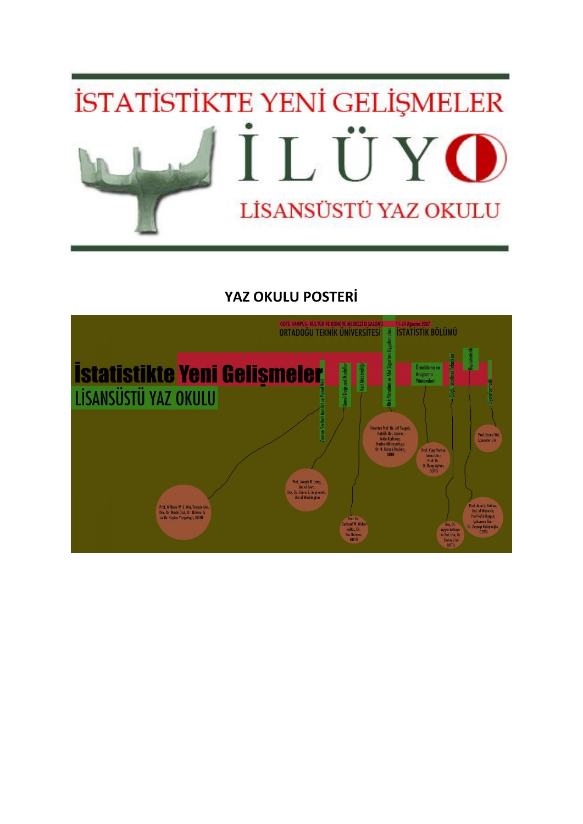

# **YAZ OKULU POSTERİ**

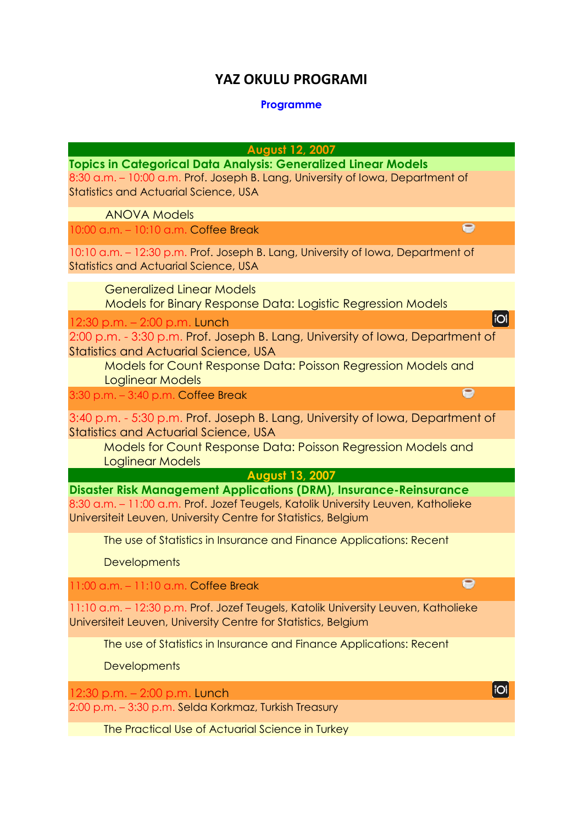### **YAZ OKULU PROGRAMI**

#### **Programme**

**August 12, 2007**

 $\bullet$ 

 $\bullet$ 

**TOI** 

 $\overline{1}$ 

**Topics in Categorical Data Analysis: Generalized Linear Models** 8:30 a.m. – 10:00 a.m. Prof. Joseph B. Lang, University of Iowa, Department of Statistics and Actuarial Science, USA

ANOVA Models

10:00 a.m. – 10:10 a.m. Coffee Break

10:10 a.m. – 12:30 p.m. Prof. Joseph B. Lang, University of Iowa, Department of Statistics and Actuarial Science, USA

 Generalized Linear Models Models for Binary Response Data: Logistic Regression Models

12:30 p.m. – 2:00 p.m. Lunch

2:00 p.m. - 3:30 p.m. Prof. Joseph B. Lang, University of Iowa, Department of Statistics and Actuarial Science, USA

Models for Count Response Data: Poisson Regression Models and Loglinear Models  $\bullet$ 

3:30 p.m. – 3:40 p.m. Coffee Break

3:40 p.m. - 5:30 p.m. Prof. Joseph B. Lang, University of Iowa, Department of Statistics and Actuarial Science, USA

Models for Count Response Data: Poisson Regression Models and Loglinear Models

**August 13, 2007**

**Disaster Risk Management Applications (DRM), Insurance-Reinsurance** 8:30 a.m. – 11:00 a.m. Prof. Jozef Teugels, Katolik University Leuven, Katholieke Universiteit Leuven, University Centre for Statistics, Belgium

The use of Statistics in Insurance and Finance Applications: Recent

**Developments** 

11:00 a.m. – 11:10 a.m. Coffee Break

11:10 a.m. – 12:30 p.m. Prof. Jozef Teugels, Katolik University Leuven, Katholieke Universiteit Leuven, University Centre for Statistics, Belgium

The use of Statistics in Insurance and Finance Applications: Recent

Developments

12:30 p.m. – 2:00 p.m. Lunch 2:00 p.m. – 3:30 p.m. Selda Korkmaz, Turkish Treasury

The Practical Use of Actuarial Science in Turkey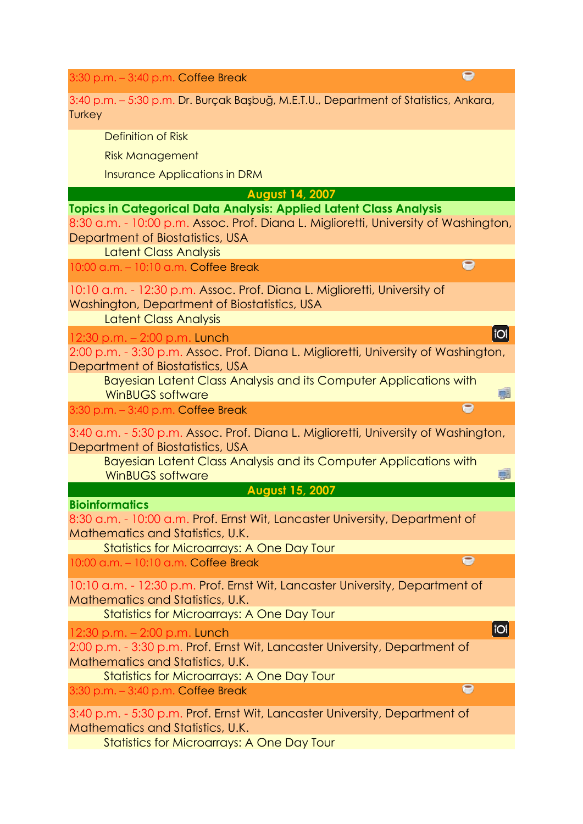3:30 p.m. – 3:40 p.m. Coffee Break

3:40 p.m. – 5:30 p.m. Dr. Burçak Başbuğ, M.E.T.U., Department of Statistics, Ankara, **Turkey** 

 $\bullet$ 

 $\bullet$ 

**TOI** 

哪

Q.

**IOI** 

 $\bullet$ 

 $\bullet$ 

Definition of Risk

Risk Management

Insurance Applications in DRM

**August 14, 2007**

**Topics in Categorical Data Analysis: Applied Latent Class Analysis** 8:30 a.m. - 10:00 p.m. Assoc. Prof. Diana L. Miglioretti, University of Washington, Department of Biostatistics, USA

Latent Class Analysis

10:00 a.m. – 10:10 a.m. Coffee Break

10:10 a.m. - 12:30 p.m. Assoc. Prof. Diana L. Miglioretti, University of Washington, Department of Biostatistics, USA

Latent Class Analysis

12:30 p.m. – 2:00 p.m. Lunch

2:00 p.m. - 3:30 p.m. Assoc. Prof. Diana L. Miglioretti, University of Washington, Department of Biostatistics, USA

Bayesian Latent Class Analysis and its Computer Applications with WinBUGS software e

3:30 p.m. – 3:40 p.m. Coffee Break

3:40 a.m. - 5:30 p.m. Assoc. Prof. Diana L. Miglioretti, University of Washington, Department of Biostatistics, USA

Bayesian Latent Class Analysis and its Computer Applications with WinBUGS software

**August 15, 2007**

**Bioinformatics**

8:30 a.m. - 10:00 a.m. Prof. Ernst Wit, Lancaster University, Department of Mathematics and Statistics, U.K.

Statistics for Microarrays: A One Day Tour

10:00 a.m. – 10:10 a.m. Coffee Break

10:10 a.m. - 12:30 p.m. Prof. Ernst Wit, Lancaster University, Department of Mathematics and Statistics, U.K.

Statistics for Microarrays: A One Day Tour

12:30 p.m. – 2:00 p.m. Lunch

2:00 p.m. - 3:30 p.m. Prof. Ernst Wit, Lancaster University, Department of Mathematics and Statistics, U.K.

Statistics for Microarrays: A One Day Tour

3:30 p.m. – 3:40 p.m. Coffee Break

3:40 p.m. - 5:30 p.m. Prof. Ernst Wit, Lancaster University, Department of Mathematics and Statistics, U.K.

Statistics for Microarrays: A One Day Tour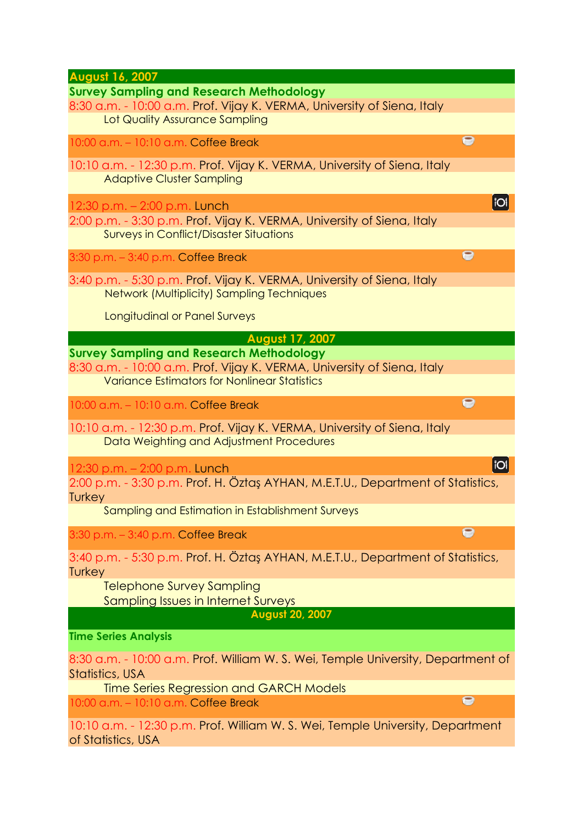**August 16, 2007 Survey Sampling and Research Methodology** 8:30 a.m. - 10:00 a.m. Prof. Vijay K. VERMA, University of Siena, Italy Lot Quality Assurance Sampling  $\bullet$ 10:00 a.m. – 10:10 a.m. Coffee Break 10:10 a.m. - 12:30 p.m. Prof. Vijay K. VERMA, University of Siena, Italy Adaptive Cluster Sampling **IOI** 12:30 p.m. – 2:00 p.m. Lunch 2:00 p.m. - 3:30 p.m. Prof. Vijay K. VERMA, University of Siena, Italy Surveys in Conflict/Disaster Situations  $\bullet$ 3:30 p.m. – 3:40 p.m. Coffee Break 3:40 p.m. - 5:30 p.m. Prof. Vijay K. VERMA, University of Siena, Italy Network (Multiplicity) Sampling Techniques Longitudinal or Panel Surveys **August 17, 2007 Survey Sampling and Research Methodology** 8:30 a.m. - 10:00 a.m. Prof. Vijay K. VERMA, University of Siena, Italy Variance Estimators for Nonlinear Statistics  $\bullet$ 10:00 a.m. – 10:10 a.m. Coffee Break 10:10 a.m. - 12:30 p.m. Prof. Vijay K. VERMA, University of Siena, Italy Data Weighting and Adjustment Procedures **IOI** 12:30 p.m. – 2:00 p.m. Lunch 2:00 p.m. - 3:30 p.m. Prof. H. Öztaş AYHAN, M.E.T.U., Department of Statistics, **Turkey** Sampling and Estimation in Establishment Surveys  $\overline{P}$ 3:30 p.m. – 3:40 p.m. Coffee Break 3:40 p.m. - 5:30 p.m. Prof. H. Öztaş AYHAN, M.E.T.U., Department of Statistics, **Turkey** Telephone Survey Sampling Sampling Issues in Internet Surveys **August 20, 2007 Time Series Analysis** 8:30 a.m. - 10:00 a.m. Prof. William W. S. Wei, Temple University, Department of Statistics, USA Time Series Regression and GARCH Models  $\bullet$ 10:00 a.m. – 10:10 a.m. Coffee Break 10:10 a.m. - 12:30 p.m. Prof. William W. S. Wei, Temple University, Department of Statistics, USA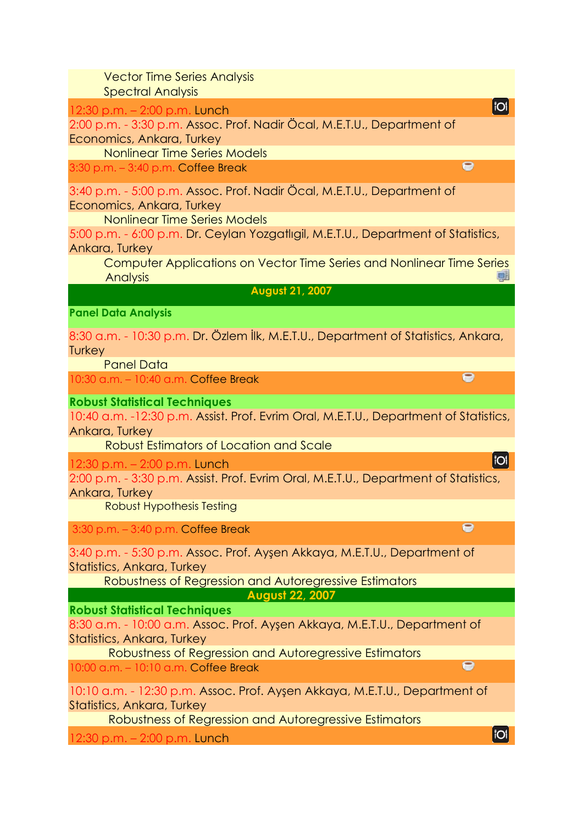Vector Time Series Analysis Spectral Analysis

12:30 p.m. – 2:00 p.m. Lunch

2:00 p.m. - 3:30 p.m. Assoc. Prof. Nadir Öcal, M.E.T.U., Department of Economics, Ankara, Turkey

Nonlinear Time Series Models

3:30 p.m. – 3:40 p.m. Coffee Break

3:40 p.m. - 5:00 p.m. Assoc. Prof. Nadir Öcal, M.E.T.U., Department of Economics, Ankara, Turkey

Nonlinear Time Series Models

5:00 p.m. - 6:00 p.m. Dr. Ceylan Yozgatlıgil, M.E.T.U., Department of Statistics, Ankara, Turkey

Computer Applications on Vector Time Series and Nonlinear Time Series 画 **Analysis** 

**August 21, 2007**

**Panel Data Analysis**

8:30 a.m. - 10:30 p.m. Dr. Özlem İlk, M.E.T.U., Department of Statistics, Ankara, **Turkey** 

Panel Data

10:30 a.m. – 10:40 a.m. Coffee Break

**Robust Statistical Techniques** 

10:40 a.m. -12:30 p.m. Assist. Prof. Evrim Oral, M.E.T.U., Department of Statistics, Ankara, Turkey

Robust Estimators of Location and Scale

12:30 p.m. – 2:00 p.m. Lunch

2:00 p.m. - 3:30 p.m. Assist. Prof. Evrim Oral, M.E.T.U., Department of Statistics, Ankara, Turkey

Robust Hypothesis Testing

3:30 p.m. – 3:40 p.m. Coffee Break

3:40 p.m. - 5:30 p.m. Assoc. Prof. Ayşen Akkaya, M.E.T.U., Department of Statistics, Ankara, Turkey

Robustness of Regression and Autoregressive Estimators **August 22, 2007**

**Robust Statistical Techniques** 

8:30 a.m. - 10:00 a.m. Assoc. Prof. Ayşen Akkaya, M.E.T.U., Department of Statistics, Ankara, Turkey

Robustness of Regression and Autoregressive Estimators

10:00 a.m. – 10:10 a.m. Coffee Break

10:10 a.m. - 12:30 p.m. Assoc. Prof. Ayşen Akkaya, M.E.T.U., Department of Statistics, Ankara, Turkey

Robustness of Regression and Autoregressive Estimators

12:30 p.m. – 2:00 p.m. Lunch

iol

 $\bullet$ 

 $\bullet$ 

 $\bullet$ 

 $\bullet$ 

**TOI**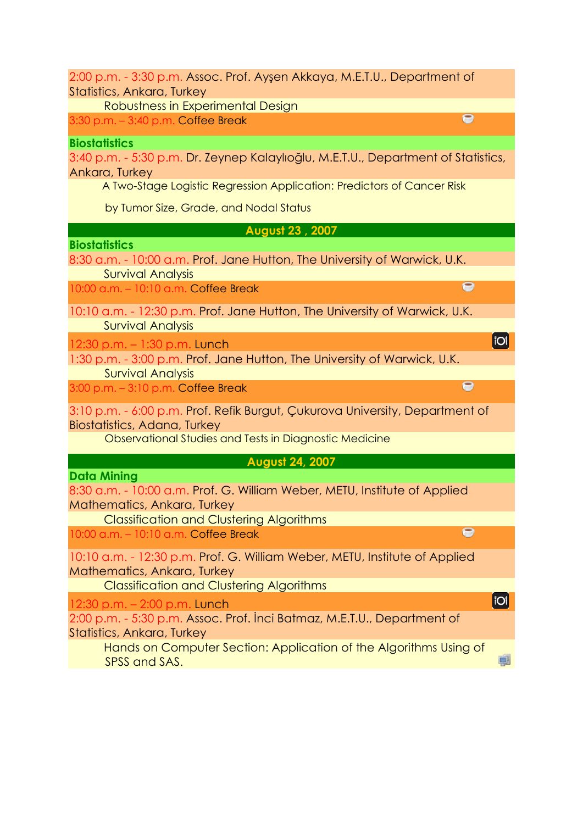2:00 p.m. - 3:30 p.m. Assoc. Prof. Ayşen Akkaya, M.E.T.U., Department of Statistics, Ankara, Turkey

Robustness in Experimental Design

3:30 p.m. – 3:40 p.m. Coffee Break

### **Biostatistics**

3:40 p.m. - 5:30 p.m. Dr. Zeynep Kalaylıoğlu, M.E.T.U., Department of Statistics, Ankara, Turkey

 $\bullet$ 

 $\bullet$ 

 $\overline{\mathbf{e}}$ 

**IOI** 

画

**IOI** 

A Two-Stage Logistic Regression Application: Predictors of Cancer Risk

by Tumor Size, Grade, and Nodal Status

**August 23 , 2007**

**Biostatistics**

8:30 a.m. - 10:00 a.m. Prof. Jane Hutton, The University of Warwick, U.K. Survival Analysis

10:00 a.m. – 10:10 a.m. Coffee Break

10:10 a.m. - 12:30 p.m. Prof. Jane Hutton, The University of Warwick, U.K. Survival Analysis

12:30 p.m. – 1:30 p.m. Lunch

1:30 p.m. - 3:00 p.m. Prof. Jane Hutton, The University of Warwick, U.K. Survival Analysis  $\bullet$ 

3:00 p.m. – 3:10 p.m. Coffee Break

3:10 p.m. - 6:00 p.m. Prof. Refik Burgut, Çukurova University, Department of Biostatistics, Adana, Turkey

Observational Studies and Tests in Diagnostic Medicine

**August 24, 2007**

**Data Mining** 

8:30 a.m. - 10:00 a.m. Prof. G. William Weber, METU, Institute of Applied Mathematics, Ankara, Turkey

Classification and Clustering Algorithms

10:00 a.m. – 10:10 a.m. Coffee Break

10:10 a.m. - 12:30 p.m. Prof. G. William Weber, METU, Institute of Applied Mathematics, Ankara, Turkey

Classification and Clustering Algorithms

12:30 p.m. – 2:00 p.m. Lunch

2:00 p.m. - 5:30 p.m. Assoc. Prof. İnci Batmaz, M.E.T.U., Department of Statistics, Ankara, Turkey

Hands on Computer Section: Application of the Algorithms Using of SPSS and SAS.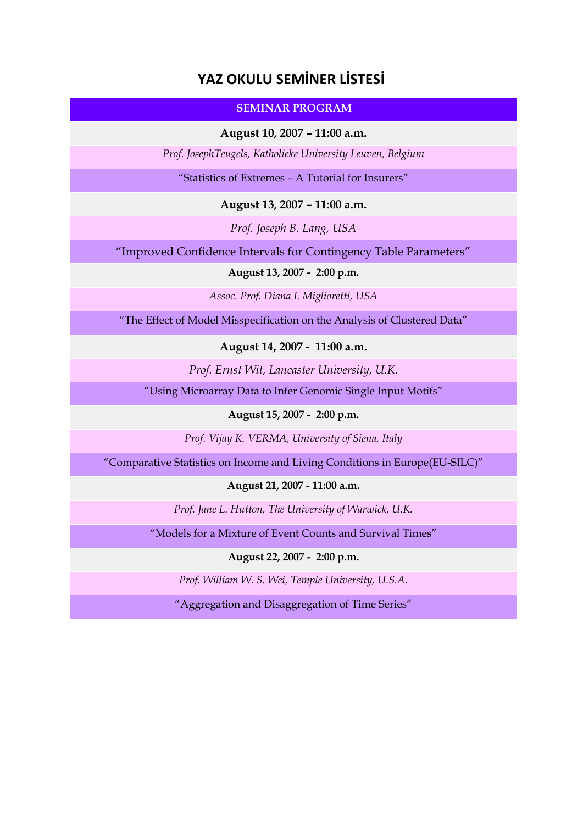## **YAZ OKULU SEMİNER LİSTESİ**

### **SEMINAR PROGRAM**

**August 10, 2007 – 11:00 a.m.**

*Prof. JosephTeugels, Katholieke University Leuven, Belgium*

"Statistics of Extremes – A Tutorial for Insurers"

**August 13, 2007 – 11:00 a.m.**

*Prof. Joseph B. Lang, USA*

"Improved Confidence Intervals for Contingency Table Parameters"

### **August 13, 2007 - 2:00 p.m.**

*Assoc. Prof. Diana L Miglioretti, USA*

"The Effect of Model Misspecification on the Analysis of Clustered Data"

**August 14, 2007 - 11:00 a.m.**

*Prof. Ernst Wit, Lancaster University, U.K.*

"Using Microarray Data to Infer Genomic Single Input Motifs"

#### **August 15, 2007 - 2:00 p.m.**

*Prof. Vijay K. VERMA, University of Siena, Italy*

"Comparative Statistics on Income and Living Conditions in Europe(EU-SILC)"

**August 21, 2007 - 11:00 a.m.**

*Prof. Jane L. Hutton, The University of Warwick, U.K.*

"Models for a Mixture of Event Counts and Survival Times"

**August 22, 2007 - 2:00 p.m.**

*Prof. William W. S. Wei, Temple University, U.S.A.*

"Aggregation and Disaggregation of Time Series"